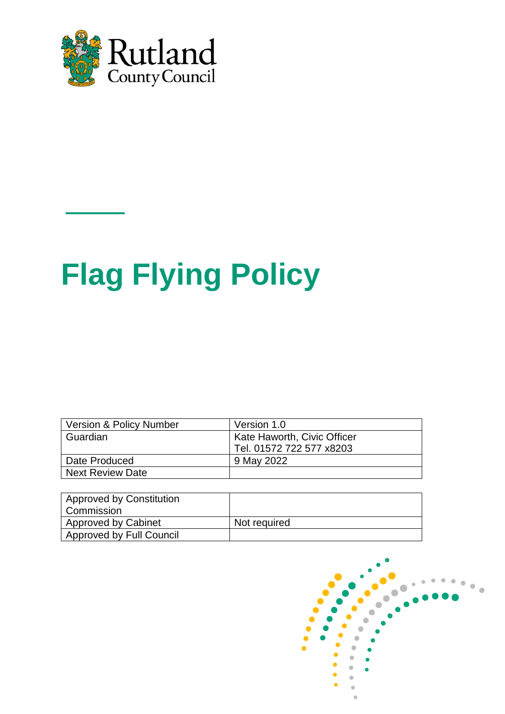

# **Flag Flying Policy**

| Version & Policy Number | Version 1.0                 |
|-------------------------|-----------------------------|
| Guardian                | Kate Haworth, Civic Officer |
|                         | Tel. 01572 722 577 x8203    |
| Date Produced           | 9 May 2022                  |
| <b>Next Review Date</b> |                             |

| Approved by Constitution<br>Commission |              |
|----------------------------------------|--------------|
| Approved by Cabinet                    | Not required |
| <b>Approved by Full Council</b>        |              |

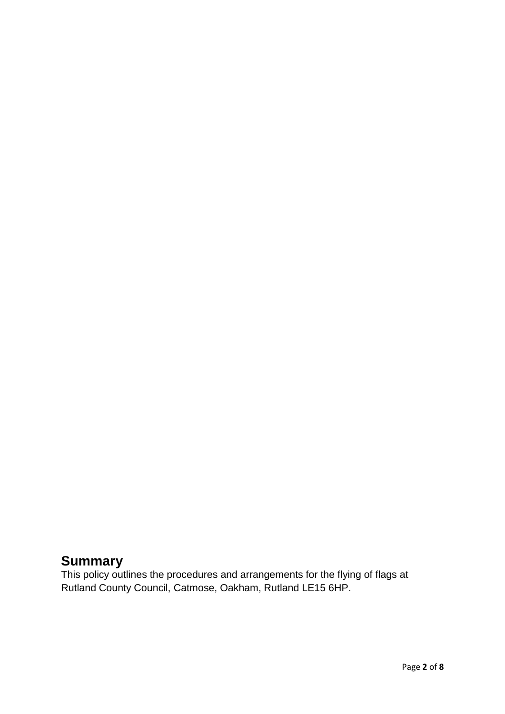#### **Summary**

This policy outlines the procedures and arrangements for the flying of flags at Rutland County Council, Catmose, Oakham, Rutland LE15 6HP.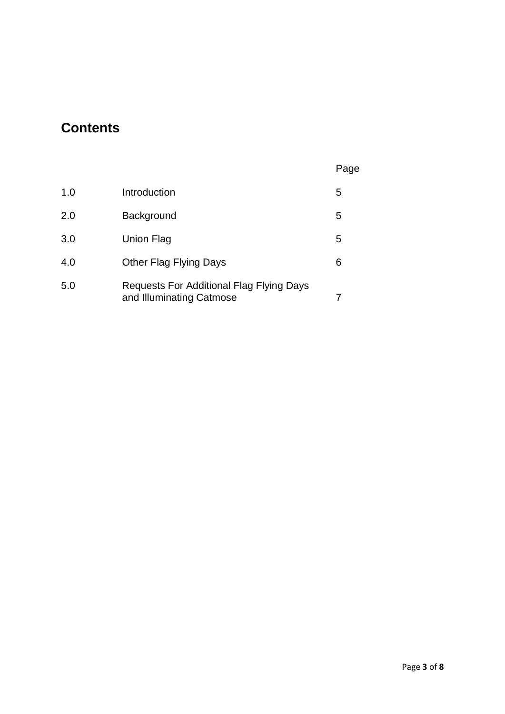## **Contents**

| ۹ |
|---|
|---|

| 1.0 | Introduction                                                                | 5 |
|-----|-----------------------------------------------------------------------------|---|
| 2.0 | Background                                                                  | 5 |
| 3.0 | Union Flag                                                                  | 5 |
| 4.0 | Other Flag Flying Days                                                      | 6 |
| 5.0 | <b>Requests For Additional Flag Flying Days</b><br>and Illuminating Catmose |   |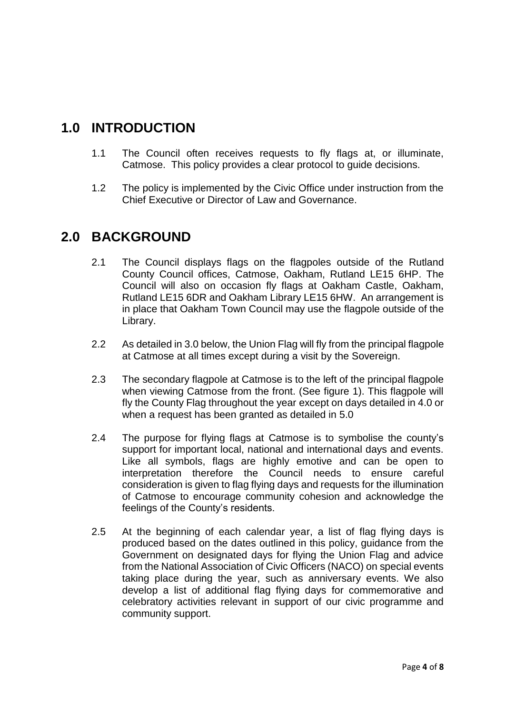#### **1.0 INTRODUCTION**

- 1.1 The Council often receives requests to fly flags at, or illuminate, Catmose. This policy provides a clear protocol to guide decisions.
- 1.2 The policy is implemented by the Civic Office under instruction from the Chief Executive or Director of Law and Governance.

#### **2.0 BACKGROUND**

- 2.1 The Council displays flags on the flagpoles outside of the Rutland County Council offices, Catmose, Oakham, Rutland LE15 6HP. The Council will also on occasion fly flags at Oakham Castle, Oakham, Rutland LE15 6DR and Oakham Library LE15 6HW. An arrangement is in place that Oakham Town Council may use the flagpole outside of the Library.
- 2.2 As detailed in 3.0 below, the Union Flag will fly from the principal flagpole at Catmose at all times except during a visit by the Sovereign.
- 2.3 The secondary flagpole at Catmose is to the left of the principal flagpole when viewing Catmose from the front. (See figure 1). This flagpole will fly the County Flag throughout the year except on days detailed in 4.0 or when a request has been granted as detailed in 5.0
- 2.4 The purpose for flying flags at Catmose is to symbolise the county's support for important local, national and international days and events. Like all symbols, flags are highly emotive and can be open to interpretation therefore the Council needs to ensure careful consideration is given to flag flying days and requests for the illumination of Catmose to encourage community cohesion and acknowledge the feelings of the County's residents.
- 2.5 At the beginning of each calendar year, a list of flag flying days is produced based on the dates outlined in this policy, guidance from the Government on designated days for flying the Union Flag and advice from the National Association of Civic Officers (NACO) on special events taking place during the year, such as anniversary events. We also develop a list of additional flag flying days for commemorative and celebratory activities relevant in support of our civic programme and community support.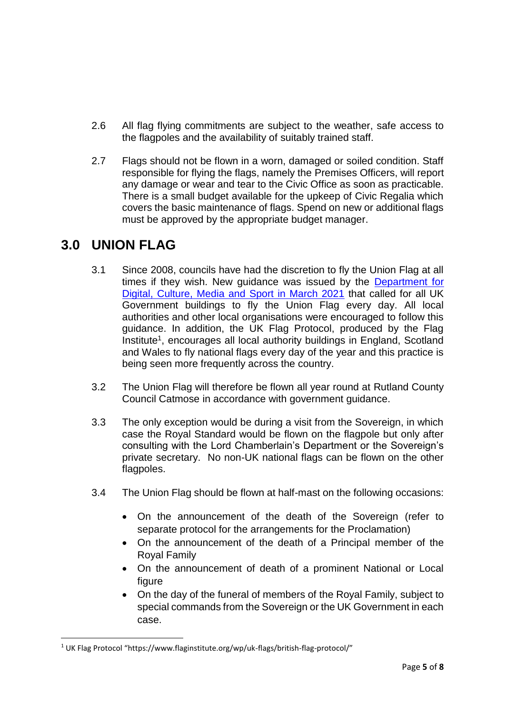- 2.6 All flag flying commitments are subject to the weather, safe access to the flagpoles and the availability of suitably trained staff.
- 2.7 Flags should not be flown in a worn, damaged or soiled condition. Staff responsible for flying the flags, namely the Premises Officers, will report any damage or wear and tear to the Civic Office as soon as practicable. There is a small budget available for the upkeep of Civic Regalia which covers the basic maintenance of flags. Spend on new or additional flags must be approved by the appropriate budget manager.

#### **3.0 UNION FLAG**

1

- 3.1 Since 2008, councils have had the discretion to fly the Union Flag at all times if they wish. New guidance was issued by the [Department for](https://www.gov.uk/guidance/designated-days-for-union-flag-flying)  [Digital, Culture, Media and Sport in March 2021](https://www.gov.uk/guidance/designated-days-for-union-flag-flying) that called for all UK Government buildings to fly the Union Flag every day. All local authorities and other local organisations were encouraged to follow this guidance. In addition, the UK Flag Protocol, produced by the Flag Institute<sup>1</sup>, encourages all local authority buildings in England, Scotland and Wales to fly national flags every day of the year and this practice is being seen more frequently across the country.
- 3.2 The Union Flag will therefore be flown all year round at Rutland County Council Catmose in accordance with government guidance.
- 3.3 The only exception would be during a visit from the Sovereign, in which case the Royal Standard would be flown on the flagpole but only after consulting with the Lord Chamberlain's Department or the Sovereign's private secretary. No non-UK national flags can be flown on the other flagpoles.
- 3.4 The Union Flag should be flown at half-mast on the following occasions:
	- On the announcement of the death of the Sovereign (refer to separate protocol for the arrangements for the Proclamation)
	- On the announcement of the death of a Principal member of the Royal Family
	- On the announcement of death of a prominent National or Local figure
	- On the day of the funeral of members of the Royal Family, subject to special commands from the Sovereign or the UK Government in each case.

<sup>&</sup>lt;sup>1</sup> UK Flag Protocol "https://www.flaginstitute.org/wp/uk-flags/british-flag-protocol/"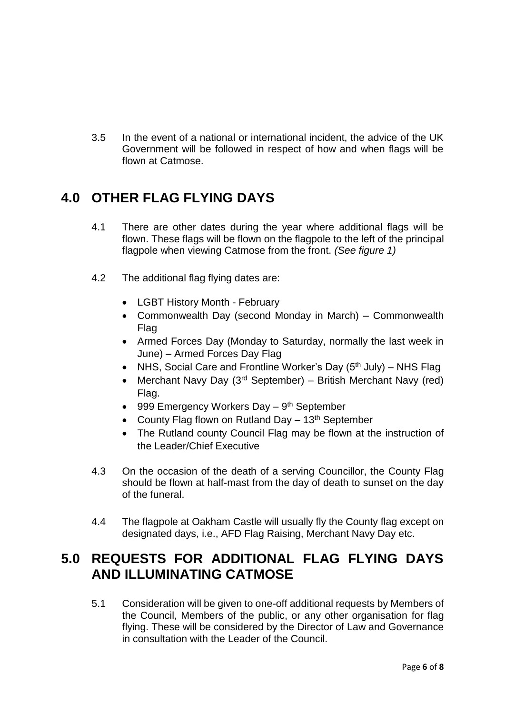3.5 In the event of a national or international incident, the advice of the UK Government will be followed in respect of how and when flags will be flown at Catmose.

### **4.0 OTHER FLAG FLYING DAYS**

- 4.1 There are other dates during the year where additional flags will be flown. These flags will be flown on the flagpole to the left of the principal flagpole when viewing Catmose from the front. *(See figure 1)*
- 4.2 The additional flag flying dates are:
	- LGBT History Month February
	- Commonwealth Day (second Monday in March) Commonwealth Flag
	- Armed Forces Day (Monday to Saturday, normally the last week in June) – Armed Forces Day Flag
	- NHS, Social Care and Frontline Worker's Day  $(5<sup>th</sup>$  July) NHS Flag
	- Merchant Navy Day  $(3<sup>rd</sup> September)$  British Merchant Navy (red) Flag.
	- 999 Emergency Workers Day 9<sup>th</sup> September
	- County Flag flown on Rutland Day  $-13<sup>th</sup>$  September
	- The Rutland county Council Flag may be flown at the instruction of the Leader/Chief Executive
- 4.3 On the occasion of the death of a serving Councillor, the County Flag should be flown at half-mast from the day of death to sunset on the day of the funeral.
- 4.4 The flagpole at Oakham Castle will usually fly the County flag except on designated days, i.e., AFD Flag Raising, Merchant Navy Day etc.

#### **5.0 REQUESTS FOR ADDITIONAL FLAG FLYING DAYS AND ILLUMINATING CATMOSE**

5.1 Consideration will be given to one-off additional requests by Members of the Council, Members of the public, or any other organisation for flag flying. These will be considered by the Director of Law and Governance in consultation with the Leader of the Council.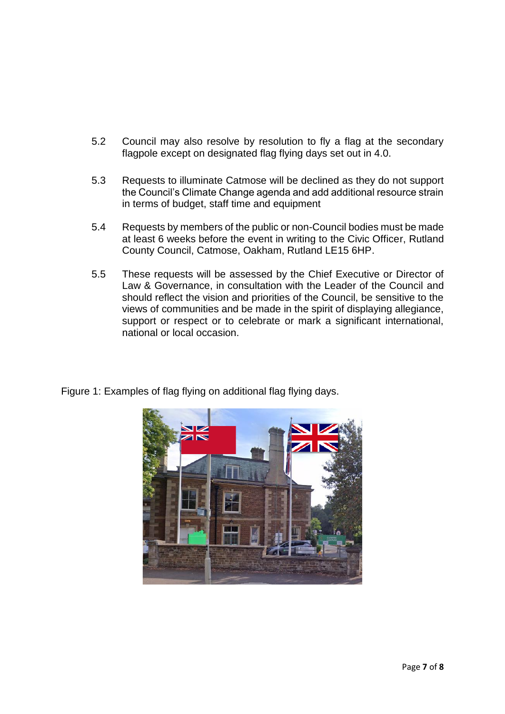- 5.2 Council may also resolve by resolution to fly a flag at the secondary flagpole except on designated flag flying days set out in 4.0.
- 5.3 Requests to illuminate Catmose will be declined as they do not support the Council's Climate Change agenda and add additional resource strain in terms of budget, staff time and equipment
- 5.4 Requests by members of the public or non-Council bodies must be made at least 6 weeks before the event in writing to the Civic Officer, Rutland County Council, Catmose, Oakham, Rutland LE15 6HP.
- 5.5 These requests will be assessed by the Chief Executive or Director of Law & Governance, in consultation with the Leader of the Council and should reflect the vision and priorities of the Council, be sensitive to the views of communities and be made in the spirit of displaying allegiance, support or respect or to celebrate or mark a significant international, national or local occasion.



Figure 1: Examples of flag flying on additional flag flying days.